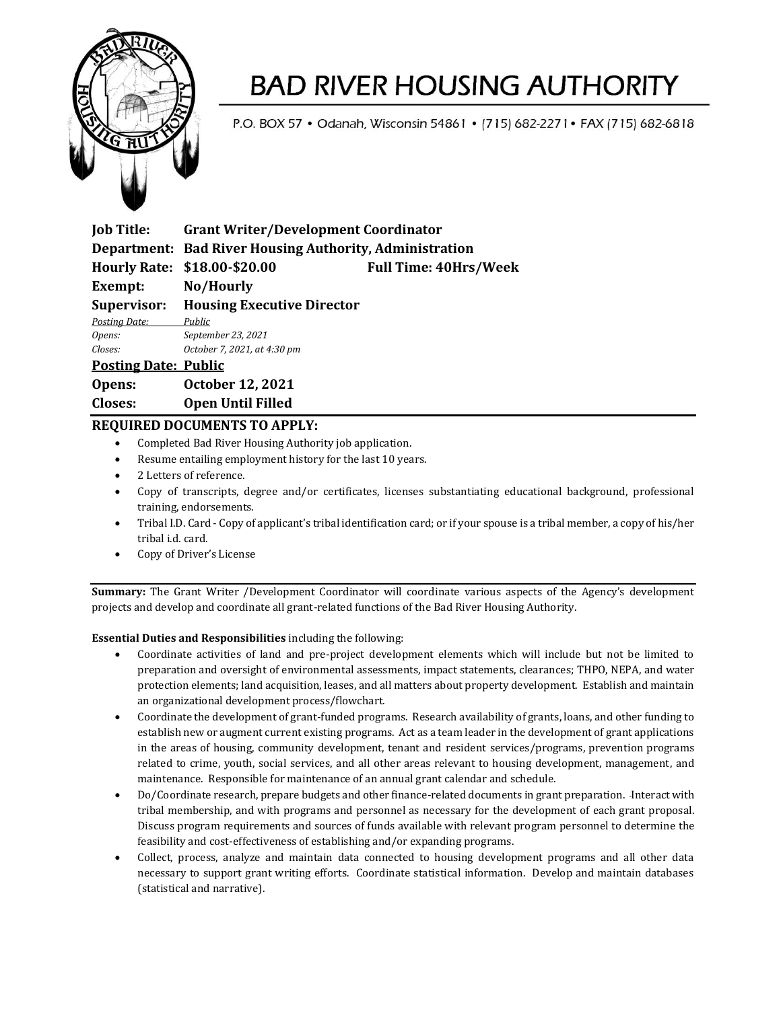

### **BAD RIVER HOUSING AUTHORITY**

P.O. BOX 57 . Odanah, Wisconsin 54861 . [715] 682-2271 . FAX [715] 682-6818

| <b>Job Title:</b>           | <b>Grant Writer/Development Coordinator</b>             |                              |
|-----------------------------|---------------------------------------------------------|------------------------------|
|                             | Department: Bad River Housing Authority, Administration |                              |
|                             | Hourly Rate: \$18.00-\$20.00                            | <b>Full Time: 40Hrs/Week</b> |
| Exempt:                     | No/Hourly                                               |                              |
| Supervisor:                 | <b>Housing Executive Director</b>                       |                              |
| Posting Date:               | Public                                                  |                              |
| Opens:                      | September 23, 2021                                      |                              |
| Closes:                     | October 7, 2021, at 4:30 pm                             |                              |
| <b>Posting Date: Public</b> |                                                         |                              |
| Opens:                      | <b>October 12, 2021</b>                                 |                              |
|                             |                                                         |                              |

### **Closes: Open Until Filled**

### **REQUIRED DOCUMENTS TO APPLY:**

- Completed Bad River Housing Authority job application.
- Resume entailing employment history for the last 10 years.
- 2 Letters of reference.
- Copy of transcripts, degree and/or certificates, licenses substantiating educational background, professional training, endorsements.
- Tribal I.D. Card Copy of applicant's tribal identification card; or if your spouse is a tribal member, a copy of his/her tribal i.d. card.
- Copy of Driver's License

**Summary:** The Grant Writer /Development Coordinator will coordinate various aspects of the Agency's development projects and develop and coordinate all grant-related functions of the Bad River Housing Authority.

#### **Essential Duties and Responsibilities** including the following:

- Coordinate activities of land and pre-project development elements which will include but not be limited to preparation and oversight of environmental assessments, impact statements, clearances; THPO, NEPA, and water protection elements; land acquisition, leases, and all matters about property development. Establish and maintain an organizational development process/flowchart.
- Coordinate the development of grant-funded programs. Research availability of grants, loans, and other funding to establish new or augment current existing programs. Act as a team leader in the development of grant applications in the areas of housing, community development, tenant and resident services/programs, prevention programs related to crime, youth, social services, and all other areas relevant to housing development, management, and maintenance. Responsible for maintenance of an annual grant calendar and schedule.
- Do/Coordinate research, prepare budgets and other finance-related documents in grant preparation. Interact with tribal membership, and with programs and personnel as necessary for the development of each grant proposal. Discuss program requirements and sources of funds available with relevant program personnel to determine the feasibility and cost-effectiveness of establishing and/or expanding programs.
- Collect, process, analyze and maintain data connected to housing development programs and all other data necessary to support grant writing efforts. Coordinate statistical information. Develop and maintain databases (statistical and narrative).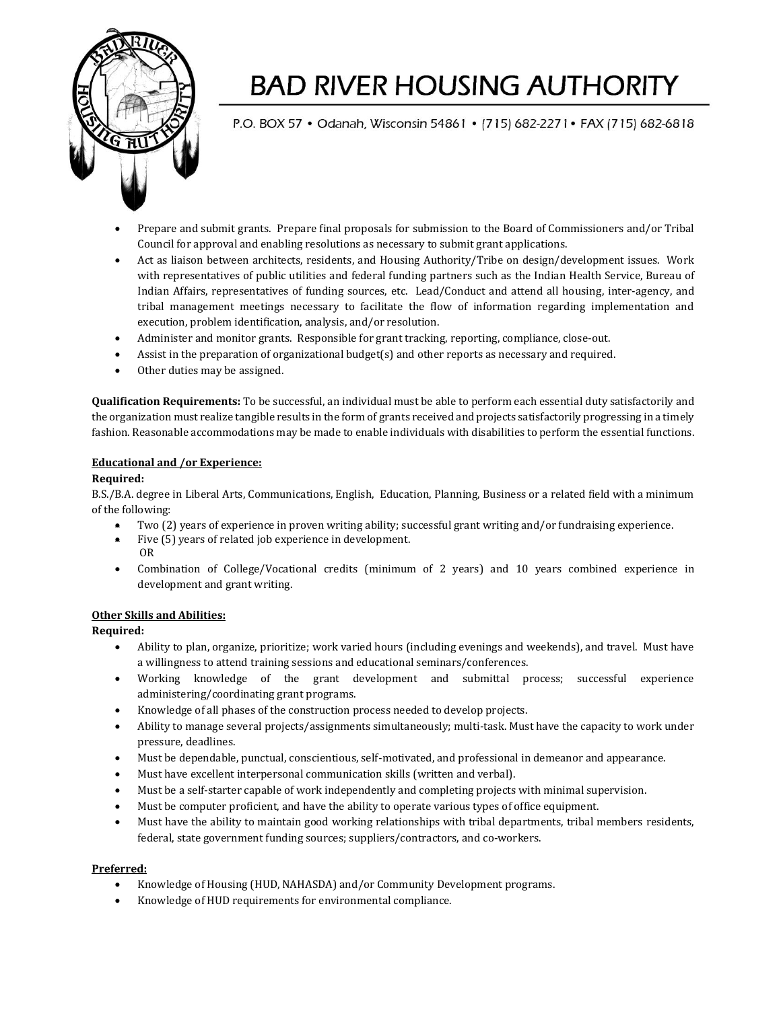

# **BAD RIVER HOUSING AUTHORITY**

P.O. BOX 57 . Odanah, Wisconsin 54861 . [715] 682-2271 . FAX [715] 682-6818

- Prepare and submit grants. Prepare final proposals for submission to the Board of Commissioners and/or Tribal Council for approval and enabling resolutions as necessary to submit grant applications.
- Act as liaison between architects, residents, and Housing Authority/Tribe on design/development issues. Work with representatives of public utilities and federal funding partners such as the Indian Health Service, Bureau of Indian Affairs, representatives of funding sources, etc. Lead/Conduct and attend all housing, inter-agency, and tribal management meetings necessary to facilitate the flow of information regarding implementation and execution, problem identification, analysis, and/or resolution.
- Administer and monitor grants. Responsible for grant tracking, reporting, compliance, close-out.
- Assist in the preparation of organizational budget(s) and other reports as necessary and required.
- Other duties may be assigned.

**Qualification Requirements:** To be successful, an individual must be able to perform each essential duty satisfactorily and the organization must realize tangible results in the form of grants received and projects satisfactorily progressing in a timely fashion. Reasonable accommodations may be made to enable individuals with disabilities to perform the essential functions.

#### **Educational and /or Experience:**

#### **Required:**

B.S./B.A. degree in Liberal Arts, Communications, English, Education, Planning, Business or a related field with a minimum of the following:

- Two (2) years of experience in proven writing ability; successful grant writing and/or fundraising experience.
- Five (5) years of related job experience in development. OR
- Combination of College/Vocational credits (minimum of 2 years) and 10 years combined experience in development and grant writing.

#### **Other Skills and Abilities:**

**Required:**

- Ability to plan, organize, prioritize; work varied hours (including evenings and weekends), and travel. Must have a willingness to attend training sessions and educational seminars/conferences.
- Working knowledge of the grant development and submittal process; successful experience administering/coordinating grant programs.
- Knowledge of all phases of the construction process needed to develop projects.
- Ability to manage several projects/assignments simultaneously; multi-task. Must have the capacity to work under pressure, deadlines.
- Must be dependable, punctual, conscientious, self-motivated, and professional in demeanor and appearance.
- Must have excellent interpersonal communication skills (written and verbal).
- Must be a self-starter capable of work independently and completing projects with minimal supervision.
- Must be computer proficient, and have the ability to operate various types of office equipment.
- Must have the ability to maintain good working relationships with tribal departments, tribal members residents, federal, state government funding sources; suppliers/contractors, and co-workers.

#### **Preferred:**

- Knowledge of Housing (HUD, NAHASDA) and/or Community Development programs.
- Knowledge of HUD requirements for environmental compliance.